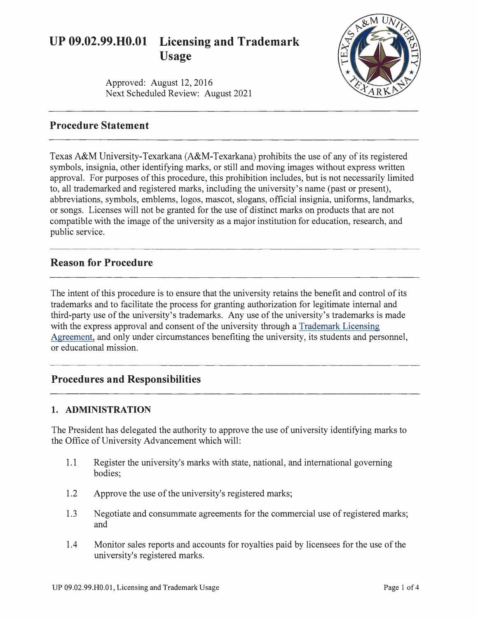# **UP 09.02.99.H0.01 Licensing and Trademark Usage**

Approved: August 12, 2016 Next Scheduled Review: August 2021



# **Procedure Statement**

Texas A&M University-Texarkana (A&M-Texarkana) prohibits the use of any of its registered symbols, insignia, other identifying marks, or still and moving images without express written approval. For purposes of this procedure, this prohibition includes, but is not necessarily limited to, all trademarked and registered marks, including the university's name (past or present), abbreviations, symbols, emblems, logos, mascot, slogans, official insignia, uniforms, landmarks, or songs. Licenses will not be granted for the use of distinct marks on products that are not compatible with the image of the university as a major institution for education, research, and public service.

## **Reason for Procedure**

The intent of this procedure is to ensure that the university retains the benefit and control of its trademarks and to facilitate the process for granting authorization for legitimate internal and third-party use of the university's trademarks. Any use of the university's trademarks is made with the express approval and consent of the university through a [Trademark Licensing](http://www.tamut.edu/About/Administration/University-Advancement/trademarks/index.html)  [Agreement,](http://www.tamut.edu/About/Administration/University-Advancement/trademarks/index.html) and only under circumstances benefiting the university, its students and personnel, or educational mission.

# **Procedures and Responsibilities**

#### **1. ADMINISTRATION**

The President has delegated the authority to approve the use of university identifying marks to the Office of University Advancement which will:

- 1.1 Register the university's marks with state, national, and international governing bodies;
- 1.2 Approve the use of the university's registered marks;
- 1.3 Negotiate and consummate agreements for the commercial use of registered marks; and
- 1.4 Monitor sales reports and accounts for royalties paid by licensees for the use of the university's registered marks.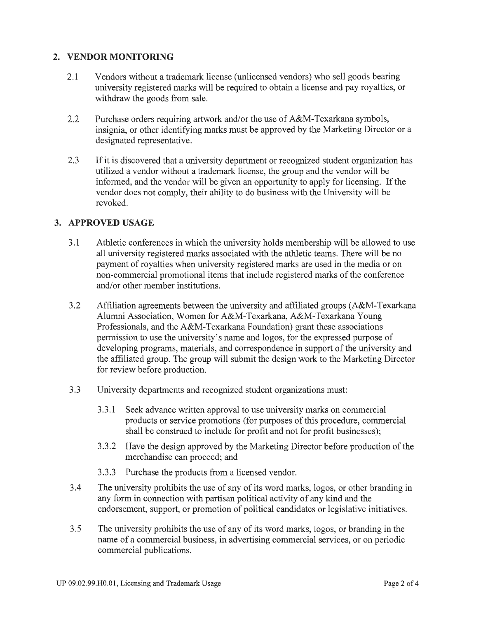## **2. VENDOR MONITORING**

- 2.1 Vendors without a trademark license (unlicensed vendors) who sell goods bearing university registered marks will be required to obtain a license and pay royalties, or withdraw the goods from sale.
- 2.2 Purchase orders requiring artwork and/or the use of A&M-Texarkana symbols, insignia, or other identifying marks must be approved by the Marketing Director or a designated representative.
- 2.3 If it is discovered that a university department or recognized student organization has utilized a vendor without a trademark license, the group and the vendor will be informed, and the vendor will be given an opportunity to apply for licensing. If the vendor does not comply, their ability to do business with the University will be revoked.

#### **3. APPROVED USAGE**

- 3.1 Athletic conferences in which the university holds membership will be allowed to use all university registered marks associated with the athletic teams. There will be no payment of royalties when university registered marks are used in the media or on non-commercial promotional items that include registered marks of the conference and/or other member institutions.
- 3.2 Affiliation agreements between the university and affiliated groups (A&M-Texarkana Alumni Association, Women for A&M-Texarkana, A&M-Texarkana Young Professionals, and the A&M-Texarkana Foundation) grant these associations permission to use the university's name and logos, for the expressed purpose of developing programs, materials, and correspondence in support of the university and the affiliated group. The group will submit the design work to the Marketing Director for review before production.
- 3.3 University departments and recognized student organizations must:
	- 3.3.1 Seek advance written approval to use university marks on commercial products or service promotions (for purposes of this procedure, commercial shall be construed to include for profit and not for profit businesses);
	- 3 .3 .2 Have the design approved by the Marketing Director before production of the merchandise can proceed; and
	- 3.3.3 Purchase the products from a licensed vendor.
- 3 .4 The university prohibits the use of any of its word marks, logos, or other branding in any form in connection with partisan political activity of any kind and the endorsement, support, or promotion of political candidates or legislative initiatives.
- 3.5 The university prohibits the use of any of its word marks, logos, or branding in the name of a commercial business, in advertising commercial services, or on periodic commercial publications.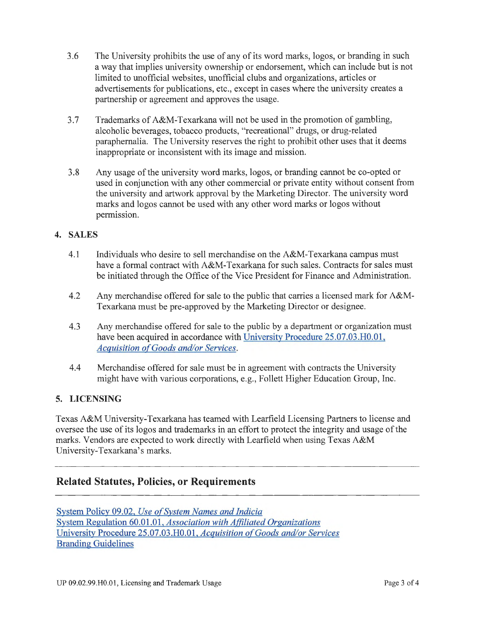- 3.6 The University prohibits the use of any of its word marks, logos, or branding in such a way that implies university ownership or endorsement, which can include but is not limited to unofficial websites, unofficial clubs and organizations, articles or advertisements for publications, etc., except in cases where the university creates a partnership or agreement and approves the usage.
- 3.7 Trademarks of A&M-Texarkana will not be used in the promotion of gambling, alcoholic beverages, tobacco products, "recreational" drugs, or drug-related paraphernalia. The University reserves the right to prohibit other uses that it deems inappropriate or inconsistent with its image and mission.
- 3.8 Any usage of the university word marks, logos, or branding cannot be co-opted or used in conjunction with any other commercial or private entity without consent from the university and artwork approval by the Marketing Director. The university word marks and logos cannot be used with any other word marks or logos without permission.

## **4. SALES**

- 4.1 Individuals who desire to sell merchandise on the A&M-Texarkana campus must have a formal contract with A&M-Texarkana for such sales. Contracts for sales must be initiated through the Office of the Vice President for Finance and Administration.
- 4.2 Any merchandise offered for sale to the public that carries a licensed mark for A&M-Texarkana must be pre-approved by the Marketing Director or designee.
- 4.3 Any merchandise offered for sale to the public by a department or organization must have been acquired in accordance with University Procedure 25.07.03.H0.01, *[Acquisition of Goods and/or Services.](http://www.tamut.edu/About/Administration/About/Rules/25-07-03-H0-01.pdf)*
- 4.4 Merchandise offered for sale must be in agreement with contracts the University might have with various corporations, e.g., Follett Higher Education Group, Inc.

#### **5. LICENSING**

Texas A&M University-Texarkana has teamed with Learfield Licensing Partners to license and oversee the use of its logos and trademarks in an effort to protect the integrity and usage of the marks. Vendors are expected to work directly with Learfield when using Texas A&M University-Texarkana's marks.

## **Related Statutes, Policies, or Requirements**

System Policy 09.02, *Use of System Names and Indicia* System Regulation 60.01.01, *[Association with Affiliated Organizations](http://policies.tamus.edu/60-01-01.pdf)*  University Procedure 25.07.03 .H0.01, *[Acquisition of Goods and/or Services](http://www.tamut.edu/About/Administration/About/Rules/25-07-03-H0-01.pdf)*  [Branding Guidelines](http://www.tamut.edu/branding)